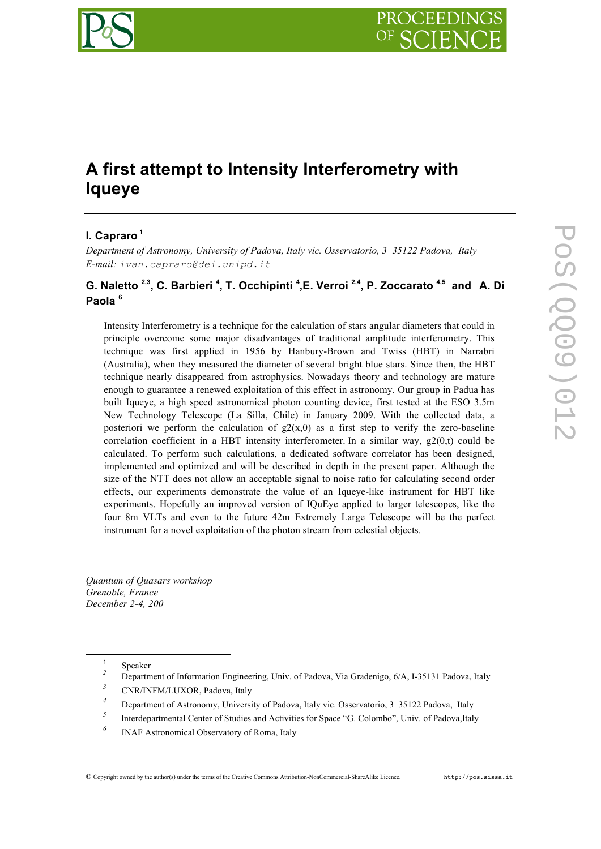

# **A first attempt to Intensity Interferometry with Iqueye**

# **I. Capraro <sup>1</sup>**

*Department of Astronomy, University of Padova, Italy vic. Osservatorio, 3 35122 Padova, Italy E-mail: ivan.capraro@dei.unipd.it*

# **G. Naletto 2,3, C. Barbieri <sup>4</sup> , T. Occhipinti <sup>4</sup> ,E. Verroi 2,4, P. Zoccarato 4,5 and A. Di Paola <sup>6</sup>**

Intensity Interferometry is a technique for the calculation of stars angular diameters that could in principle overcome some major disadvantages of traditional amplitude interferometry. This technique was first applied in 1956 by Hanbury-Brown and Twiss (HBT) in Narrabri (Australia), when they measured the diameter of several bright blue stars. Since then, the HBT technique nearly disappeared from astrophysics. Nowadays theory and technology are mature enough to guarantee a renewed exploitation of this effect in astronomy. Our group in Padua has built Iqueye, a high speed astronomical photon counting device, first tested at the ESO 3.5m New Technology Telescope (La Silla, Chile) in January 2009. With the collected data, a posteriori we perform the calculation of  $g_2(x,0)$  as a first step to verify the zero-baseline correlation coefficient in a HBT intensity interferometer. In a similar way,  $g2(0,t)$  could be calculated. To perform such calculations, a dedicated software correlator has been designed, implemented and optimized and will be described in depth in the present paper. Although the size of the NTT does not allow an acceptable signal to noise ratio for calculating second order effects, our experiments demonstrate the value of an Iqueye-like instrument for HBT like experiments. Hopefully an improved version of IQuEye applied to larger telescopes, like the four 8m VLTs and even to the future 42m Extremely Large Telescope will be the perfect instrument for a novel exploitation of the photon stream from celestial objects.

*Quantum of Quasars workshop Grenoble, France December 2-4, 200*

*<sup>6</sup>* INAF Astronomical Observatory of Roma, Italy

<sup>1</sup> Speaker *<sup>2</sup>* Department of Information Engineering, Univ. of Padova, Via Gradenigo, 6/A, I-35131 Padova, Italy

*<sup>3</sup>* CNR/INFM/LUXOR, Padova, Italy

*<sup>4</sup>* Department of Astronomy, University of Padova, Italy vic. Osservatorio, 3 35122 Padova, Italy

<sup>&</sup>lt;sup>5</sup> Interdepartmental Center of Studies and Activities for Space "G. Colombo", Univ. of Padova,Italy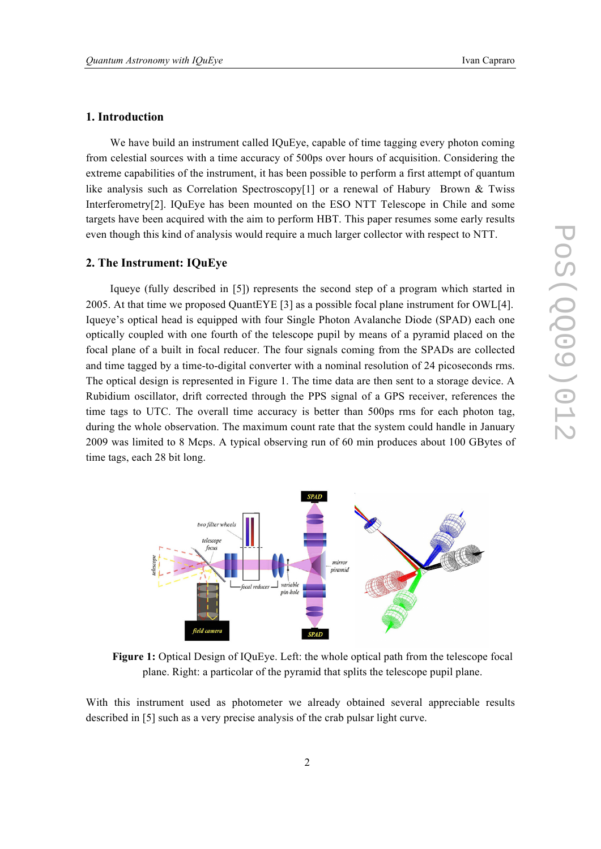## **1. Introduction**

We have build an instrument called IQuEye, capable of time tagging every photon coming from celestial sources with a time accuracy of 500ps over hours of acquisition. Considering the extreme capabilities of the instrument, it has been possible to perform a first attempt of quantum like analysis such as Correlation Spectroscopy<sup>[1]</sup> or a renewal of Habury Brown & Twiss Interferometry[2]. IQuEye has been mounted on the ESO NTT Telescope in Chile and some targets have been acquired with the aim to perform HBT. This paper resumes some early results even though this kind of analysis would require a much larger collector with respect to NTT.

#### **2. The Instrument: IQuEye**

Iqueye (fully described in [5]) represents the second step of a program which started in 2005. At that time we proposed QuantEYE [3] as a possible focal plane instrument for OWL[4]. Iqueye's optical head is equipped with four Single Photon Avalanche Diode (SPAD) each one optically coupled with one fourth of the telescope pupil by means of a pyramid placed on the focal plane of a built in focal reducer. The four signals coming from the SPADs are collected and time tagged by a time-to-digital converter with a nominal resolution of 24 picoseconds rms. The optical design is represented in Figure 1. The time data are then sent to a storage device. A Rubidium oscillator, drift corrected through the PPS signal of a GPS receiver, references the time tags to UTC. The overall time accuracy is better than 500ps rms for each photon tag, during the whole observation. The maximum count rate that the system could handle in January 2009 was limited to 8 Mcps. A typical observing run of 60 min produces about 100 GBytes of time tags, each 28 bit long.



**Figure 1:** Optical Design of IQuEye. Left: the whole optical path from the telescope focal plane. Right: a particolar of the pyramid that splits the telescope pupil plane.

With this instrument used as photometer we already obtained several appreciable results described in [5] such as a very precise analysis of the crab pulsar light curve.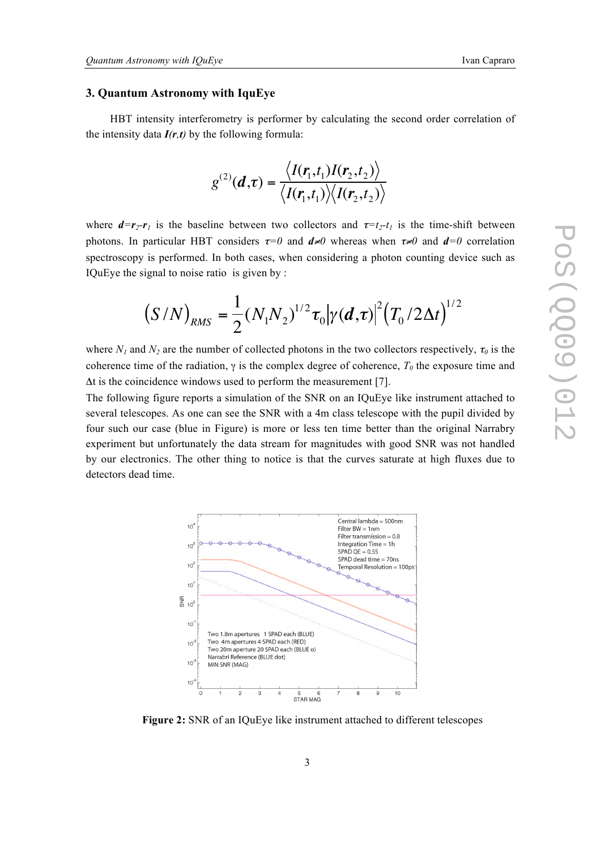#### **3. Quantum Astronomy with IquEye**

HBT intensity interferometry is performer by calculating the second order correlation of the intensity data  $I(r,t)$  by the following formula:

$$
g^{(2)}(\boldsymbol{d},\boldsymbol{\tau})=\frac{\langle I(\boldsymbol{r}_1,t_1)I(\boldsymbol{r}_2,t_2)\rangle}{\langle I(\boldsymbol{r}_1,t_1)\rangle\langle I(\boldsymbol{r}_2,t_2)\rangle}
$$

where  $d=r_2-r_1$  is the baseline between two collectors and  $\tau=t_2-t_1$  is the time-shift between photons. In particular HBT considers  $\tau = 0$  and  $d \neq 0$  whereas when  $\tau \neq 0$  and  $d = 0$  correlation spectroscopy is performed. In both cases, when considering a photon counting device such as spectroscopy is performed. In both cases, where  $IQuEye$  the signal to noise ratio is given by :

$$
(S/N)_{RMS} = \frac{1}{2} (N_1 N_2)^{1/2} \tau_0 |\gamma(d,\tau)|^2 (T_0 / 2 \Delta t)^{1/2}
$$

where  $N_1$  and  $N_2$  are the number of collected photons in the two collectors respectively,  $\tau_0$  is the coherence time of the radiation,  $\gamma$  is the complex degree of coherence,  $T_0$  the exposure time and  $\Delta t$  is the coincidence windows used to perform the measurement [7].

The following figure reports a simulation of the SNR on an IQuEye like instrument attached to several telescopes. As one can see the SNR with a 4m class telescope with the pupil divided by four such our case (blue in Figure) is more or less ten time better than the original Narrabry experiment but unfortunately the data stream for magnitudes with good SNR was not handled by our electronics. The other thing to notice is that the curves saturate at high fluxes due to detectors dead time.



**Figure 2:** SNR of an IQuEye like instrument attached to different telescopes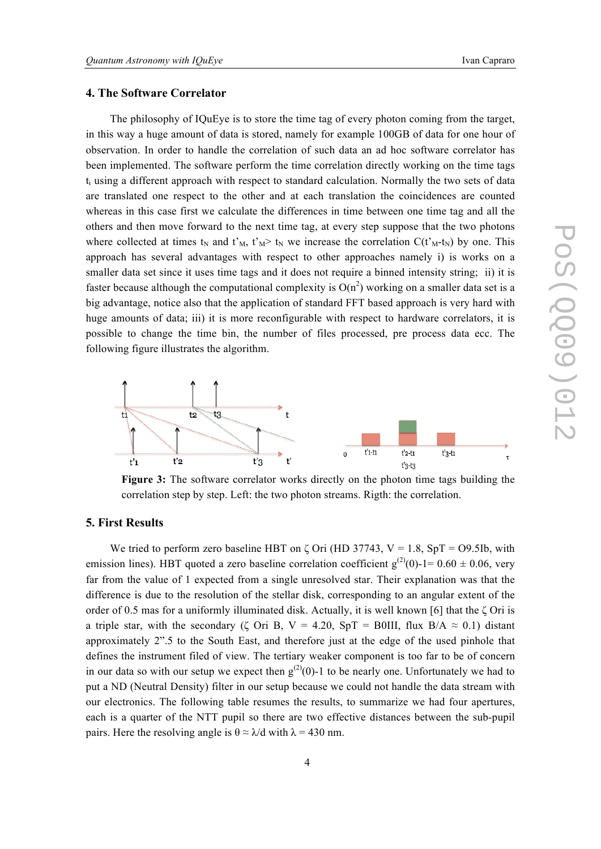# **4. The Software Correlator**

The philosophy of IQuEye is to store the time tag of every photon coming from the target, in this way a huge amount of data is stored, namely for example 100GB of data for one hour of observation. In order to handle the correlation of such data an ad hoc software correlator has been implemented. The software perform the time correlation directly working on the time tags ti using a different approach with respect to standard calculation. Normally the two sets of data are translated one respect to the other and at each translation the coincidences are counted whereas in this case first we calculate the differences in time between one time tag and all the others and then move forward to the next time tag, at every step suppose that the two photons where collected at times  $t_N$  and  $t_M$ ,  $t_M > t_N$  we increase the correlation  $C(t_M-t_N)$  by one. This approach has several advantages with respect to other approaches namely i) is works on a smaller data set since it uses time tags and it does not require a binned intensity string; ii) it is faster because although the computational complexity is  $O(n^2)$  working on a smaller data set is a big advantage, notice also that the application of standard FFT based approach is very hard with huge amounts of data; iii) it is more reconfigurable with respect to hardware correlators, it is possible to change the time bin, the number of files processed, pre process data ecc. The following figure illustrates the algorithm.



**Figure 3:** The software correlator works directly on the photon time tags building the correlation step by step. Left: the two photon streams. Rigth: the correlation.

#### **5. First Results**

We tried to perform zero baseline HBT on  $\zeta$  Ori (HD 37743, V = 1.8, SpT = O9.5Ib, with emission lines). HBT quoted a zero baseline correlation coefficient  $g^{(2)}(0)$ -1= 0.60  $\pm$  0.06, very far from the value of 1 expected from a single unresolved star. Their explanation was that the difference is due to the resolution of the stellar disk, corresponding to an angular extent of the order of 0.5 mas for a uniformly illuminated disk. Actually, it is well known [6] that the  $\zeta$  Ori is a triple star, with the secondary ( $\zeta$  Ori B, V = 4.20, SpT = B0III, flux B/A  $\approx$  0.1) distant approximately 2".5 to the South East, and therefore just at the edge of the used pinhole that defines the instrument filed of view. The tertiary weaker component is too far to be of concern in our data so with our setup we expect then  $g^{(2)}(0)$ -1 to be nearly one. Unfortunately we had to put a ND (Neutral Density) filter in our setup because we could not handle the data stream with our electronics. The following table resumes the results, to summarize we had four apertures, each is a quarter of the NTT pupil so there are two effective distances between the sub-pupil pairs. Here the resolving angle is  $\theta \approx \lambda/d$  with  $\lambda = 430$  nm.